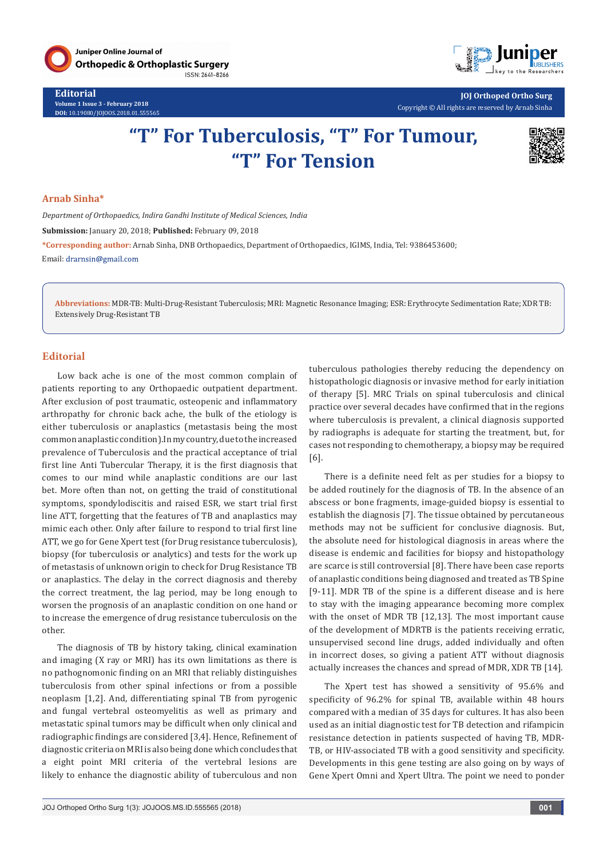

**Editorial Volume 1 Issue 3 - February 2018 DOI:** [10.19080/JOJOOS.2018.01.555565](http://dx.doi.org/10.19080/JOJOOS.2018.01.555565
)



**JOJ Orthoped Ortho Surg** Copyright © All rights are reserved by Arnab Sinha

# **"T" For Tuberculosis, "T" For Tumour, "T" For Tension**



#### **Arnab Sinha\***

*Department of Orthopaedics, Indira Gandhi Institute of Medical Sciences, India*

**Submission:** January 20, 2018; **Published:** February 09, 2018

**\*Corresponding author:** Arnab Sinha, DNB Orthopaedics, Department of Orthopaedics, IGIMS, India, Tel: 9386453600; Email: drarnsin@gmail.com

**Abbreviations:** MDR-TB: Multi-Drug-Resistant Tuberculosis; MRI: Magnetic Resonance Imaging; ESR: Erythrocyte Sedimentation Rate; XDR TB: Extensively Drug-Resistant TB

## **Editorial**

Low back ache is one of the most common complain of patients reporting to any Orthopaedic outpatient department. After exclusion of post traumatic, osteopenic and inflammatory arthropathy for chronic back ache, the bulk of the etiology is either tuberculosis or anaplastics (metastasis being the most common anaplastic condition).In my country, due to the increased prevalence of Tuberculosis and the practical acceptance of trial first line Anti Tubercular Therapy, it is the first diagnosis that comes to our mind while anaplastic conditions are our last bet. More often than not, on getting the traid of constitutional symptoms, spondylodiscitis and raised ESR, we start trial first line ATT, forgetting that the features of TB and anaplastics may mimic each other. Only after failure to respond to trial first line ATT, we go for Gene Xpert test (for Drug resistance tuberculosis), biopsy (for tuberculosis or analytics) and tests for the work up of metastasis of unknown origin to check for Drug Resistance TB or anaplastics. The delay in the correct diagnosis and thereby the correct treatment, the lag period, may be long enough to worsen the prognosis of an anaplastic condition on one hand or to increase the emergence of drug resistance tuberculosis on the other.

The diagnosis of TB by history taking, clinical examination and imaging (X ray or MRI) has its own limitations as there is no pathognomonic finding on an MRI that reliably distinguishes tuberculosis from other spinal infections or from a possible neoplasm [1,2]. And, differentiating spinal TB from pyrogenic and fungal vertebral osteomyelitis as well as primary and metastatic spinal tumors may be difficult when only clinical and radiographic findings are considered [3,4]. Hence, Refinement of diagnostic criteria on MRI is also being done which concludes that a eight point MRI criteria of the vertebral lesions are likely to enhance the diagnostic ability of tuberculous and non

tuberculous pathologies thereby reducing the dependency on histopathologic diagnosis or invasive method for early initiation of therapy [5]. MRC Trials on spinal tuberculosis and clinical practice over several decades have confirmed that in the regions where tuberculosis is prevalent, a clinical diagnosis supported by radiographs is adequate for starting the treatment, but, for cases not responding to chemotherapy, a biopsy may be required [6].

There is a definite need felt as per studies for a biopsy to be added routinely for the diagnosis of TB. In the absence of an abscess or bone fragments, image-guided biopsy is essential to establish the diagnosis [7]. The tissue obtained by percutaneous methods may not be sufficient for conclusive diagnosis. But, the absolute need for histological diagnosis in areas where the disease is endemic and facilities for biopsy and histopathology are scarce is still controversial [8]. There have been case reports of anaplastic conditions being diagnosed and treated as TB Spine [9-11]. MDR TB of the spine is a different disease and is here to stay with the imaging appearance becoming more complex with the onset of MDR TB [12,13]. The most important cause of the development of MDRTB is the patients receiving erratic, unsupervised second line drugs, added individually and often in incorrect doses, so giving a patient ATT without diagnosis actually increases the chances and spread of MDR, XDR TB [14].

The Xpert test has showed a sensitivity of 95.6% and specificity of 96.2% for spinal TB, available within 48 hours compared with a median of 35 days for cultures. It has also been used as an initial diagnostic test for TB detection and rifampicin resistance detection in patients suspected of having TB, MDR-TB, or HIV-associated TB with a good sensitivity and specificity. Developments in this gene testing are also going on by ways of Gene Xpert Omni and Xpert Ultra. The point we need to ponder